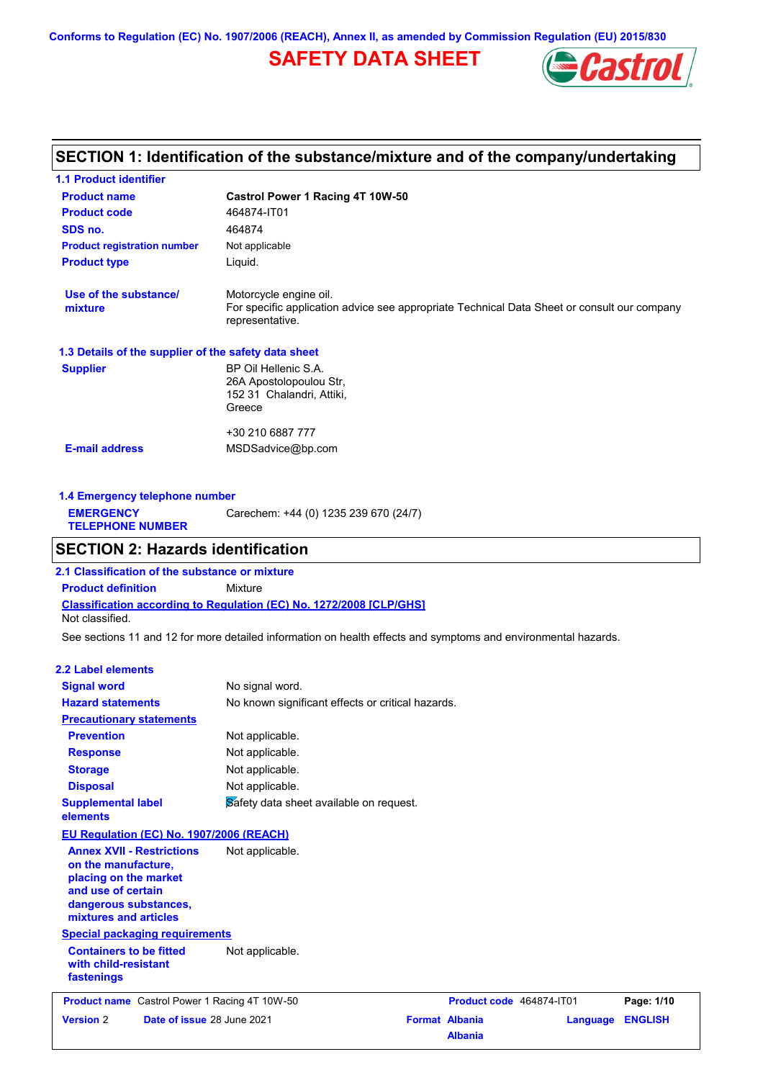# **SAFETY DATA SHEET**



## **SECTION 1: Identification of the substance/mixture and of the company/undertaking**

| <b>1.1 Product identifier</b>                        |                                                                                                                                          |
|------------------------------------------------------|------------------------------------------------------------------------------------------------------------------------------------------|
| <b>Product name</b>                                  | Castrol Power 1 Racing 4T 10W-50                                                                                                         |
| <b>Product code</b>                                  | 464874-IT01                                                                                                                              |
| SDS no.                                              | 464874                                                                                                                                   |
| <b>Product registration number</b>                   | Not applicable                                                                                                                           |
| <b>Product type</b>                                  | Liquid.                                                                                                                                  |
| Use of the substance/<br>mixture                     | Motorcycle engine oil.<br>For specific application advice see appropriate Technical Data Sheet or consult our company<br>representative. |
| 1.3 Details of the supplier of the safety data sheet |                                                                                                                                          |
| <b>Supplier</b>                                      | BP Oil Hellenic S.A.<br>26A Apostolopoulou Str.<br>152 31 Chalandri, Attiki,<br>Greece                                                   |
| <b>E-mail address</b>                                | +30 210 6887 777<br>MSDSadvice@bp.com                                                                                                    |

| 1.4 Emergency telephone number              |                                       |
|---------------------------------------------|---------------------------------------|
| <b>EMERGENCY</b><br><b>TELEPHONE NUMBER</b> | Carechem: +44 (0) 1235 239 670 (24/7) |

## **SECTION 2: Hazards identification**

**2.1 Classification of the substance or mixture**

**Product definition** Mixture

**Classification according to Regulation (EC) No. 1272/2008 [CLP/GHS]** Not classified.

See sections 11 and 12 for more detailed information on health effects and symptoms and environmental hazards.

### **2.2 Label elements**

| <b>Signal word</b>                                                                                                                                       | No signal word.                                   |                                         |          |                |
|----------------------------------------------------------------------------------------------------------------------------------------------------------|---------------------------------------------------|-----------------------------------------|----------|----------------|
| <b>Hazard statements</b>                                                                                                                                 | No known significant effects or critical hazards. |                                         |          |                |
| <b>Precautionary statements</b>                                                                                                                          |                                                   |                                         |          |                |
| <b>Prevention</b>                                                                                                                                        | Not applicable.                                   |                                         |          |                |
| <b>Response</b>                                                                                                                                          | Not applicable.                                   |                                         |          |                |
| <b>Storage</b>                                                                                                                                           | Not applicable.                                   |                                         |          |                |
| <b>Disposal</b>                                                                                                                                          | Not applicable.                                   |                                         |          |                |
| <b>Supplemental label</b><br>elements                                                                                                                    | Safety data sheet available on request.           |                                         |          |                |
| EU Regulation (EC) No. 1907/2006 (REACH)                                                                                                                 |                                                   |                                         |          |                |
| <b>Annex XVII - Restrictions</b><br>on the manufacture,<br>placing on the market<br>and use of certain<br>dangerous substances,<br>mixtures and articles | Not applicable.                                   |                                         |          |                |
| <b>Special packaging requirements</b>                                                                                                                    |                                                   |                                         |          |                |
| <b>Containers to be fitted</b><br>with child-resistant<br>fastenings                                                                                     | Not applicable.                                   |                                         |          |                |
| <b>Product name</b> Castrol Power 1 Racing 4T 10W-50                                                                                                     |                                                   | Product code 464874-IT01                |          | Page: 1/10     |
| <b>Version 2</b><br>Date of issue 28 June 2021                                                                                                           |                                                   | <b>Format Albania</b><br><b>Albania</b> | Language | <b>ENGLISH</b> |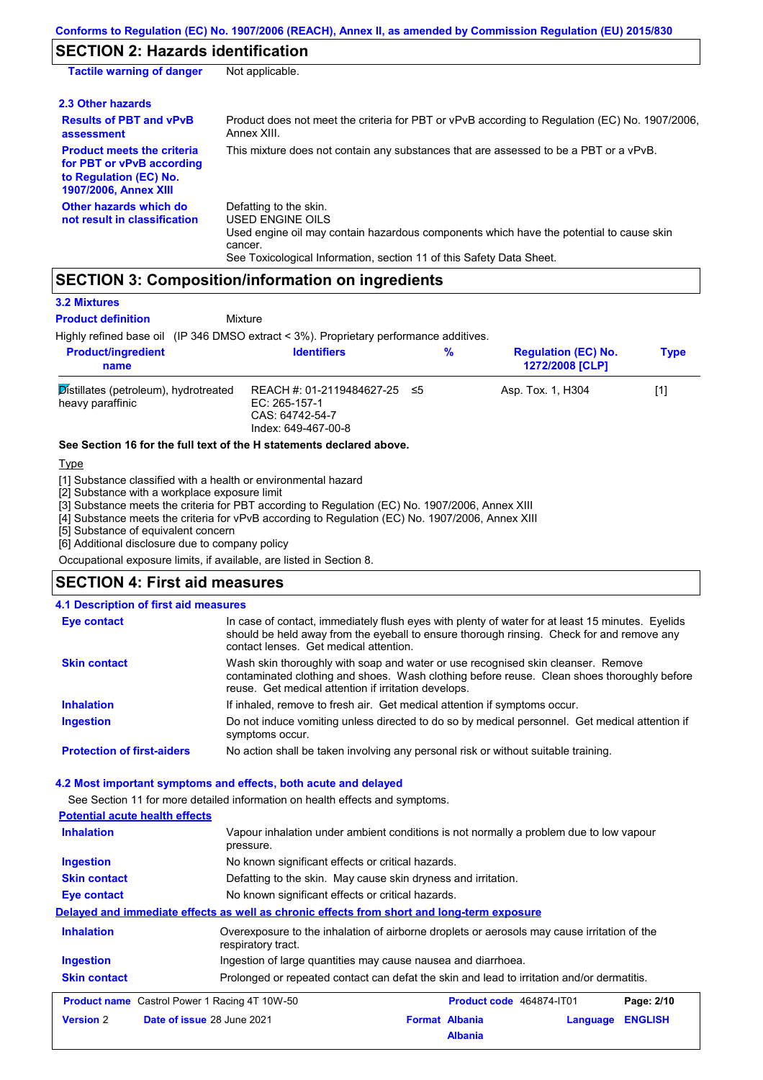### **SECTION 2: Hazards identification**

| <b>Tactile warning of danger</b>                                                                                         | Not applicable.                                                                                                                                                                                                          |
|--------------------------------------------------------------------------------------------------------------------------|--------------------------------------------------------------------------------------------------------------------------------------------------------------------------------------------------------------------------|
| 2.3 Other hazards                                                                                                        |                                                                                                                                                                                                                          |
| <b>Results of PBT and vPvB</b><br>assessment                                                                             | Product does not meet the criteria for PBT or vPvB according to Regulation (EC) No. 1907/2006.<br>Annex XIII.                                                                                                            |
| <b>Product meets the criteria</b><br>for PBT or vPvB according<br>to Regulation (EC) No.<br><b>1907/2006, Annex XIII</b> | This mixture does not contain any substances that are assessed to be a PBT or a vPvB.                                                                                                                                    |
| Other hazards which do<br>not result in classification                                                                   | Defatting to the skin.<br>USED ENGINE OILS<br>Used engine oil may contain hazardous components which have the potential to cause skin<br>cancer.<br>See Toxicological Information, section 11 of this Safety Data Sheet. |

### **SECTION 3: Composition/information on ingredients**

#### **3.2 Mixtures**

Highly refined base oil (IP 346 DMSO extract < 3%). Proprietary performance additives. Distillates (petroleum), hydrotreated heavy paraffinic REACH #: 01-2119484627-25 EC: 265-157-1 CAS: 64742-54-7 Index: 649-467-00-8 Asp. Tox. 1, H304 [1] **Product/ingredient name % Regulation (EC) No. Identifiers Type 1272/2008 [CLP]** Mixture **Product definition**

#### **See Section 16 for the full text of the H statements declared above.**

**T**<sub>vpe</sub>

[1] Substance classified with a health or environmental hazard

[2] Substance with a workplace exposure limit

[3] Substance meets the criteria for PBT according to Regulation (EC) No. 1907/2006, Annex XIII

[4] Substance meets the criteria for vPvB according to Regulation (EC) No. 1907/2006, Annex XIII

[5] Substance of equivalent concern

[6] Additional disclosure due to company policy

Occupational exposure limits, if available, are listed in Section 8.

### **SECTION 4: First aid measures**

| 4.1 Description of first aid measures |                                                                                                                                                                                                                                         |
|---------------------------------------|-----------------------------------------------------------------------------------------------------------------------------------------------------------------------------------------------------------------------------------------|
| <b>Eye contact</b>                    | In case of contact, immediately flush eyes with plenty of water for at least 15 minutes. Eyelids<br>should be held away from the eyeball to ensure thorough rinsing. Check for and remove any<br>contact lenses. Get medical attention. |
| <b>Skin contact</b>                   | Wash skin thoroughly with soap and water or use recognised skin cleanser. Remove<br>contaminated clothing and shoes. Wash clothing before reuse. Clean shoes thoroughly before<br>reuse. Get medical attention if irritation develops.  |
| <b>Inhalation</b>                     | If inhaled, remove to fresh air. Get medical attention if symptoms occur.                                                                                                                                                               |
| <b>Ingestion</b>                      | Do not induce vomiting unless directed to do so by medical personnel. Get medical attention if<br>symptoms occur.                                                                                                                       |
| <b>Protection of first-aiders</b>     | No action shall be taken involving any personal risk or without suitable training.                                                                                                                                                      |

### **4.2 Most important symptoms and effects, both acute and delayed**

See Section 11 for more detailed information on health effects and symptoms.

**Potential acute health effects Inhalation** Vapour inhalation under ambient conditions is not normally a problem due to low vapour pressure. **Ingestion** No known significant effects or critical hazards. **Skin contact** Defatting to the skin. May cause skin dryness and irritation. **Eye contact** No known significant effects or critical hazards. **Delayed and immediate effects as well as chronic effects from short and long-term exposure Inhalation Ingestion Skin contact** Overexposure to the inhalation of airborne droplets or aerosols may cause irritation of the respiratory tract. Ingestion of large quantities may cause nausea and diarrhoea. Prolonged or repeated contact can defat the skin and lead to irritation and/or dermatitis. **Product name** Castrol Power 1 Racing 4T 10W-50 **Product code 464874-IT01 Page: 2/10 Version** 2 **Date of issue** 28 June 2021 **Format Albania Language ENGLISH Albania**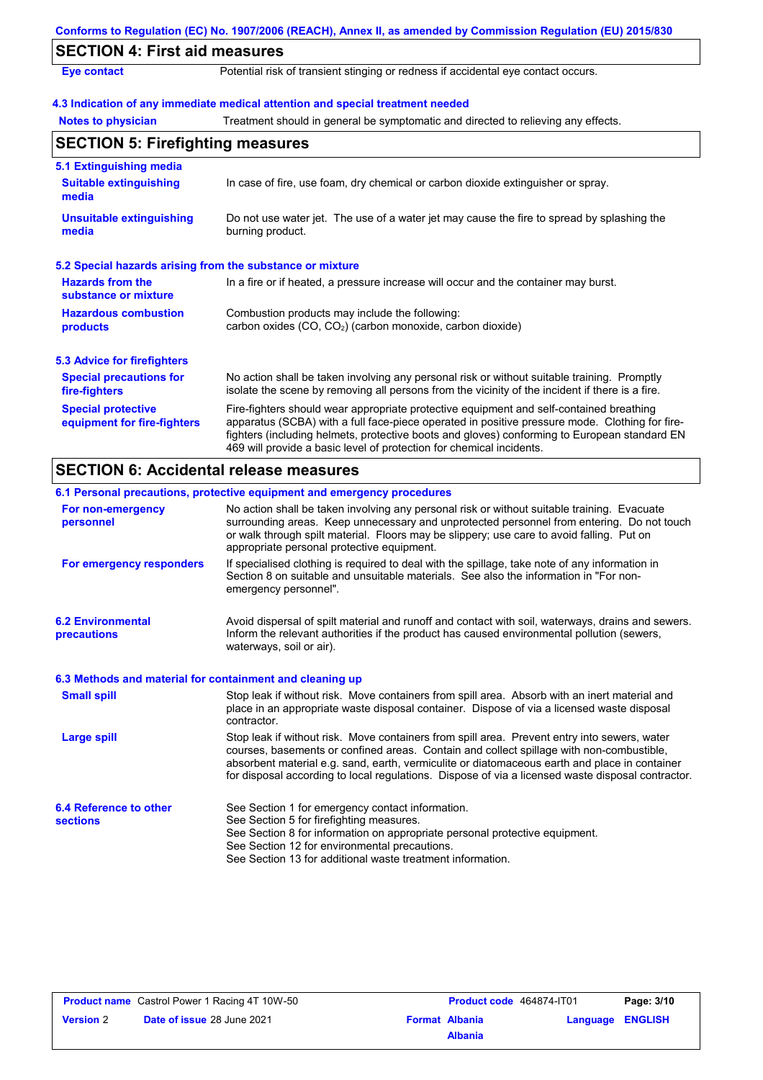|                                                           | Conforms to Regulation (EC) No. 1907/2006 (REACH), Annex II, as amended by Commission Regulation (EU) 2015/830                                                                                                                                                                                                                                                    |  |
|-----------------------------------------------------------|-------------------------------------------------------------------------------------------------------------------------------------------------------------------------------------------------------------------------------------------------------------------------------------------------------------------------------------------------------------------|--|
| <b>SECTION 4: First aid measures</b>                      |                                                                                                                                                                                                                                                                                                                                                                   |  |
| <b>Eye contact</b>                                        | Potential risk of transient stinging or redness if accidental eye contact occurs.                                                                                                                                                                                                                                                                                 |  |
|                                                           | 4.3 Indication of any immediate medical attention and special treatment needed                                                                                                                                                                                                                                                                                    |  |
| <b>Notes to physician</b>                                 | Treatment should in general be symptomatic and directed to relieving any effects.                                                                                                                                                                                                                                                                                 |  |
| <b>SECTION 5: Firefighting measures</b>                   |                                                                                                                                                                                                                                                                                                                                                                   |  |
| 5.1 Extinguishing media                                   |                                                                                                                                                                                                                                                                                                                                                                   |  |
| <b>Suitable extinguishing</b><br>media                    | In case of fire, use foam, dry chemical or carbon dioxide extinguisher or spray.                                                                                                                                                                                                                                                                                  |  |
| <b>Unsuitable extinguishing</b><br>media                  | Do not use water jet. The use of a water jet may cause the fire to spread by splashing the<br>burning product.                                                                                                                                                                                                                                                    |  |
| 5.2 Special hazards arising from the substance or mixture |                                                                                                                                                                                                                                                                                                                                                                   |  |
| <b>Hazards from the</b><br>substance or mixture           | In a fire or if heated, a pressure increase will occur and the container may burst.                                                                                                                                                                                                                                                                               |  |
| <b>Hazardous combustion</b><br>products                   | Combustion products may include the following:<br>carbon oxides (CO, CO <sub>2</sub> ) (carbon monoxide, carbon dioxide)                                                                                                                                                                                                                                          |  |
| 5.3 Advice for firefighters                               |                                                                                                                                                                                                                                                                                                                                                                   |  |
| <b>Special precautions for</b><br>fire-fighters           | No action shall be taken involving any personal risk or without suitable training. Promptly<br>isolate the scene by removing all persons from the vicinity of the incident if there is a fire.                                                                                                                                                                    |  |
| <b>Special protective</b><br>equipment for fire-fighters  | Fire-fighters should wear appropriate protective equipment and self-contained breathing<br>apparatus (SCBA) with a full face-piece operated in positive pressure mode. Clothing for fire-<br>fighters (including helmets, protective boots and gloves) conforming to European standard EN<br>469 will provide a basic level of protection for chemical incidents. |  |
| <b>SECTION 6: Accidental release measures</b>             |                                                                                                                                                                                                                                                                                                                                                                   |  |
|                                                           | 6.1 Personal precautions, protective equipment and emergency procedures                                                                                                                                                                                                                                                                                           |  |
| For non-emergency<br>personnel                            | No action shall be taken involving any personal risk or without suitable training. Evacuate<br>surrounding areas. Keep unnecessary and unprotected personnel from entering. Do not touch<br>or walk through spilt material. Floors may be slippery; use care to avoid falling. Put on<br>appropriate personal protective equipment.                               |  |
| For emergency responders                                  | If specialised clothing is required to deal with the spillage, take note of any information in<br>Section 8 on suitable and unsuitable materials. See also the information in "For non-                                                                                                                                                                           |  |

| <b>6.2 Environmental</b><br>precautions | Avoid dispersal of spilt material and runoff and contact with soil, waterways, drains and sewers.<br>Inform the relevant authorities if the product has caused environmental pollution (sewers,<br>waterways, soil or air). |
|-----------------------------------------|-----------------------------------------------------------------------------------------------------------------------------------------------------------------------------------------------------------------------------|
|                                         |                                                                                                                                                                                                                             |

emergency personnel".

| <b>Small spill</b>                        | Stop leak if without risk. Move containers from spill area. Absorb with an inert material and<br>place in an appropriate waste disposal container. Dispose of via a licensed waste disposal<br>contractor.                                                                                                                                                                                     |
|-------------------------------------------|------------------------------------------------------------------------------------------------------------------------------------------------------------------------------------------------------------------------------------------------------------------------------------------------------------------------------------------------------------------------------------------------|
| Large spill                               | Stop leak if without risk. Move containers from spill area. Prevent entry into sewers, water<br>courses, basements or confined areas. Contain and collect spillage with non-combustible,<br>absorbent material e.g. sand, earth, vermiculite or diatomaceous earth and place in container<br>for disposal according to local regulations. Dispose of via a licensed waste disposal contractor. |
| 6.4 Reference to other<br><b>sections</b> | See Section 1 for emergency contact information.<br>See Section 5 for firefighting measures.<br>See Section 8 for information on appropriate personal protective equipment.<br>See Section 12 for environmental precautions.<br>See Section 13 for additional waste treatment information.                                                                                                     |

|                  | <b>Product name</b> Castrol Power 1 Racing 4T 10W-50 |
|------------------|------------------------------------------------------|
| <b>Version 2</b> | <b>Date of issue 28 June 2021</b>                    |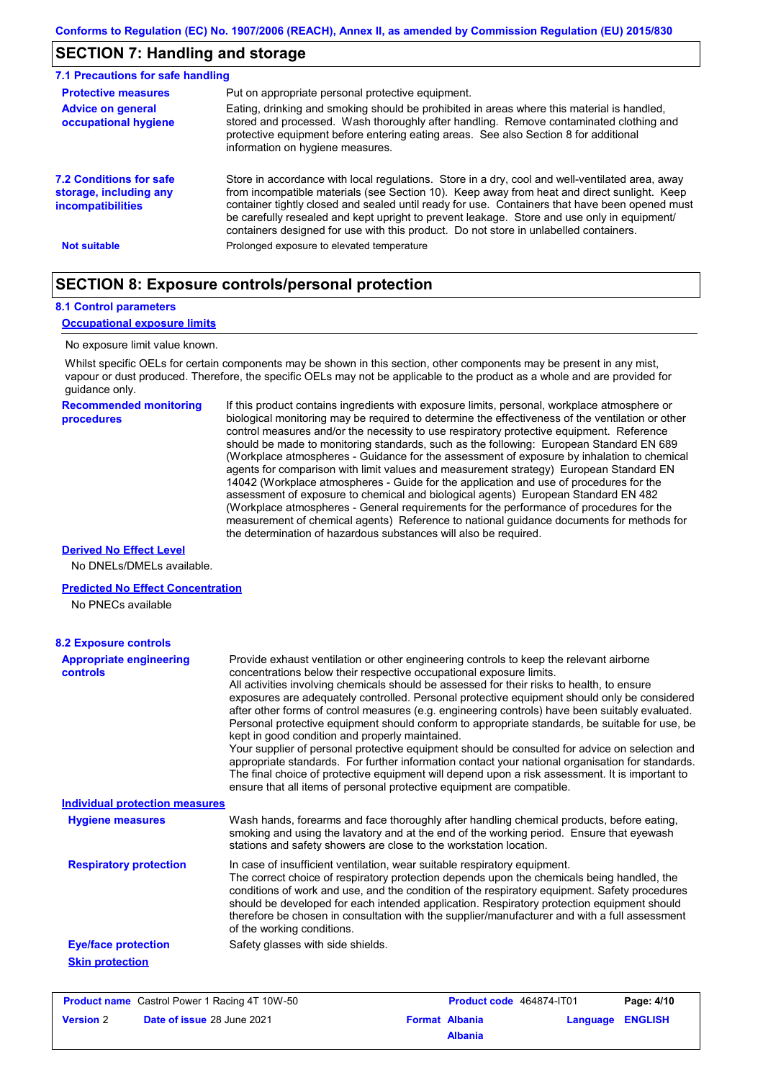### **SECTION 7: Handling and storage**

| 7.1 Precautions for safe handling                                      |                                                                                                                                                                                                                                                                                                                                                                                                                                                                                          |
|------------------------------------------------------------------------|------------------------------------------------------------------------------------------------------------------------------------------------------------------------------------------------------------------------------------------------------------------------------------------------------------------------------------------------------------------------------------------------------------------------------------------------------------------------------------------|
| <b>Protective measures</b>                                             | Put on appropriate personal protective equipment.                                                                                                                                                                                                                                                                                                                                                                                                                                        |
| <b>Advice on general</b><br>occupational hygiene                       | Eating, drinking and smoking should be prohibited in areas where this material is handled,<br>stored and processed. Wash thoroughly after handling. Remove contaminated clothing and<br>protective equipment before entering eating areas. See also Section 8 for additional<br>information on hygiene measures.                                                                                                                                                                         |
| 7.2 Conditions for safe<br>storage, including any<br>incompatibilities | Store in accordance with local requiations. Store in a dry, cool and well-ventilated area, away<br>from incompatible materials (see Section 10). Keep away from heat and direct sunlight. Keep<br>container tightly closed and sealed until ready for use. Containers that have been opened must<br>be carefully resealed and kept upright to prevent leakage. Store and use only in equipment/<br>containers designed for use with this product. Do not store in unlabelled containers. |
| <b>Not suitable</b>                                                    | Prolonged exposure to elevated temperature                                                                                                                                                                                                                                                                                                                                                                                                                                               |

### **SECTION 8: Exposure controls/personal protection**

#### **8.1 Control parameters**

#### **Occupational exposure limits**

### No exposure limit value known.

Whilst specific OELs for certain components may be shown in this section, other components may be present in any mist, vapour or dust produced. Therefore, the specific OELs may not be applicable to the product as a whole and are provided for guidance only.

**Recommended monitoring procedures**

If this product contains ingredients with exposure limits, personal, workplace atmosphere or biological monitoring may be required to determine the effectiveness of the ventilation or other control measures and/or the necessity to use respiratory protective equipment. Reference should be made to monitoring standards, such as the following: European Standard EN 689 (Workplace atmospheres - Guidance for the assessment of exposure by inhalation to chemical agents for comparison with limit values and measurement strategy) European Standard EN 14042 (Workplace atmospheres - Guide for the application and use of procedures for the assessment of exposure to chemical and biological agents) European Standard EN 482 (Workplace atmospheres - General requirements for the performance of procedures for the measurement of chemical agents) Reference to national guidance documents for methods for the determination of hazardous substances will also be required.

#### **Derived No Effect Level**

No DNELs/DMELs available.

### **Predicted No Effect Concentration**

No PNECs available

| <b>8.2 Exposure controls</b>               |                                                                                                                                                                                                                                                                                                                                                                                                                                                                                                                                                                                                                                                                                                                                                                                                                                                                                                                                                                                                         |
|--------------------------------------------|---------------------------------------------------------------------------------------------------------------------------------------------------------------------------------------------------------------------------------------------------------------------------------------------------------------------------------------------------------------------------------------------------------------------------------------------------------------------------------------------------------------------------------------------------------------------------------------------------------------------------------------------------------------------------------------------------------------------------------------------------------------------------------------------------------------------------------------------------------------------------------------------------------------------------------------------------------------------------------------------------------|
| <b>Appropriate engineering</b><br>controls | Provide exhaust ventilation or other engineering controls to keep the relevant airborne<br>concentrations below their respective occupational exposure limits.<br>All activities involving chemicals should be assessed for their risks to health, to ensure<br>exposures are adequately controlled. Personal protective equipment should only be considered<br>after other forms of control measures (e.g. engineering controls) have been suitably evaluated.<br>Personal protective equipment should conform to appropriate standards, be suitable for use, be<br>kept in good condition and properly maintained.<br>Your supplier of personal protective equipment should be consulted for advice on selection and<br>appropriate standards. For further information contact your national organisation for standards.<br>The final choice of protective equipment will depend upon a risk assessment. It is important to<br>ensure that all items of personal protective equipment are compatible. |
| <b>Individual protection measures</b>      |                                                                                                                                                                                                                                                                                                                                                                                                                                                                                                                                                                                                                                                                                                                                                                                                                                                                                                                                                                                                         |
| <b>Hygiene measures</b>                    | Wash hands, forearms and face thoroughly after handling chemical products, before eating,<br>smoking and using the lavatory and at the end of the working period. Ensure that eyewash<br>stations and safety showers are close to the workstation location.                                                                                                                                                                                                                                                                                                                                                                                                                                                                                                                                                                                                                                                                                                                                             |
| <b>Respiratory protection</b>              | In case of insufficient ventilation, wear suitable respiratory equipment.<br>The correct choice of respiratory protection depends upon the chemicals being handled, the<br>conditions of work and use, and the condition of the respiratory equipment. Safety procedures<br>should be developed for each intended application. Respiratory protection equipment should<br>therefore be chosen in consultation with the supplier/manufacturer and with a full assessment<br>of the working conditions.                                                                                                                                                                                                                                                                                                                                                                                                                                                                                                   |
| <b>Eye/face protection</b>                 | Safety glasses with side shields.                                                                                                                                                                                                                                                                                                                                                                                                                                                                                                                                                                                                                                                                                                                                                                                                                                                                                                                                                                       |
| <b>Skin protection</b>                     |                                                                                                                                                                                                                                                                                                                                                                                                                                                                                                                                                                                                                                                                                                                                                                                                                                                                                                                                                                                                         |

| <b>Product name</b> Castrol Power 1 Racing 4T 10W-50 |                                   | <b>Product code</b> 464874-IT01 |                       | Page: 4/10       |  |
|------------------------------------------------------|-----------------------------------|---------------------------------|-----------------------|------------------|--|
| <b>Version 2</b>                                     | <b>Date of issue 28 June 2021</b> |                                 | <b>Format Albania</b> | Language ENGLISH |  |
|                                                      |                                   |                                 | <b>Albania</b>        |                  |  |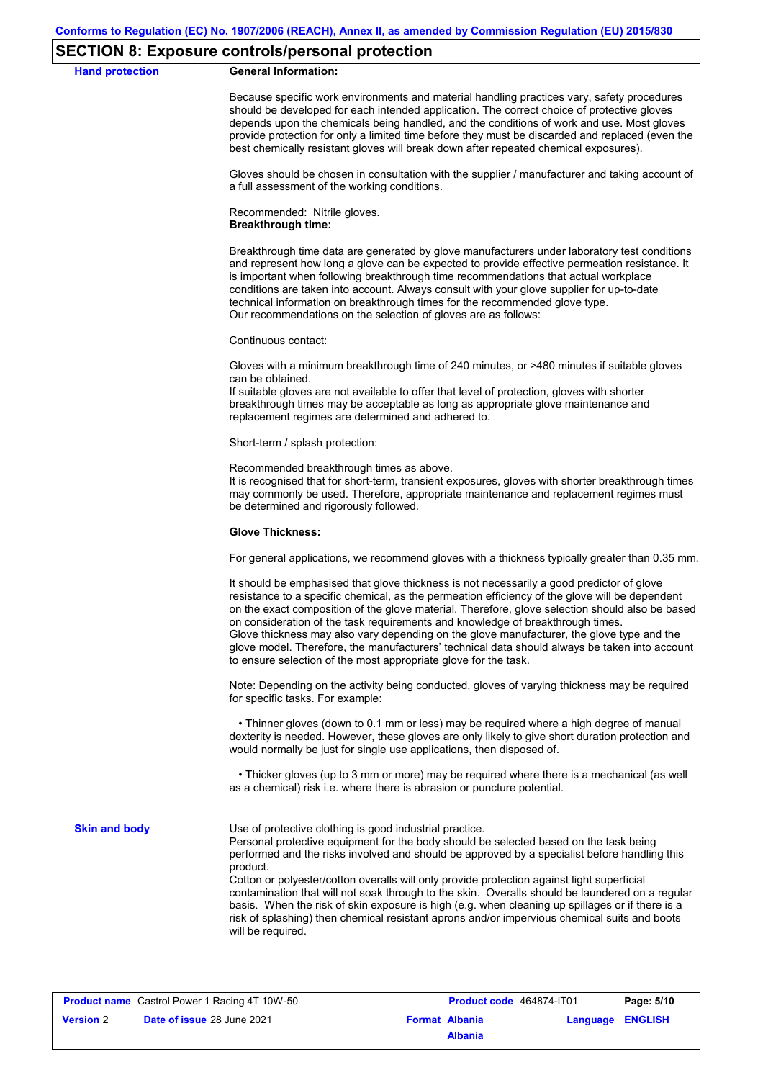### **SECTION 8: Exposure controls/personal protection**

**Hand protection** 

|  | <b>General Information:</b> |
|--|-----------------------------|
|--|-----------------------------|

Because specific work environments and material handling practices vary, safety procedures should be developed for each intended application. The correct choice of protective gloves depends upon the chemicals being handled, and the conditions of work and use. Most gloves provide protection for only a limited time before they must be discarded and replaced (even the best chemically resistant gloves will break down after repeated chemical exposures).

Gloves should be chosen in consultation with the supplier / manufacturer and taking account of a full assessment of the working conditions.

Recommended: Nitrile gloves. **Breakthrough time:**

Breakthrough time data are generated by glove manufacturers under laboratory test conditions and represent how long a glove can be expected to provide effective permeation resistance. It is important when following breakthrough time recommendations that actual workplace conditions are taken into account. Always consult with your glove supplier for up-to-date technical information on breakthrough times for the recommended glove type. Our recommendations on the selection of gloves are as follows:

Continuous contact:

Gloves with a minimum breakthrough time of 240 minutes, or >480 minutes if suitable gloves can be obtained.

If suitable gloves are not available to offer that level of protection, gloves with shorter breakthrough times may be acceptable as long as appropriate glove maintenance and replacement regimes are determined and adhered to.

Short-term / splash protection:

Recommended breakthrough times as above.

It is recognised that for short-term, transient exposures, gloves with shorter breakthrough times may commonly be used. Therefore, appropriate maintenance and replacement regimes must be determined and rigorously followed.

#### **Glove Thickness:**

For general applications, we recommend gloves with a thickness typically greater than 0.35 mm.

It should be emphasised that glove thickness is not necessarily a good predictor of glove resistance to a specific chemical, as the permeation efficiency of the glove will be dependent on the exact composition of the glove material. Therefore, glove selection should also be based on consideration of the task requirements and knowledge of breakthrough times. Glove thickness may also vary depending on the glove manufacturer, the glove type and the glove model. Therefore, the manufacturers' technical data should always be taken into account to ensure selection of the most appropriate glove for the task.

Note: Depending on the activity being conducted, gloves of varying thickness may be required for specific tasks. For example:

 • Thinner gloves (down to 0.1 mm or less) may be required where a high degree of manual dexterity is needed. However, these gloves are only likely to give short duration protection and would normally be just for single use applications, then disposed of.

 • Thicker gloves (up to 3 mm or more) may be required where there is a mechanical (as well as a chemical) risk i.e. where there is abrasion or puncture potential.

**Skin and body**

Use of protective clothing is good industrial practice.

Personal protective equipment for the body should be selected based on the task being performed and the risks involved and should be approved by a specialist before handling this product.

Cotton or polyester/cotton overalls will only provide protection against light superficial contamination that will not soak through to the skin. Overalls should be laundered on a regular basis. When the risk of skin exposure is high (e.g. when cleaning up spillages or if there is a risk of splashing) then chemical resistant aprons and/or impervious chemical suits and boots will be required.

| <b>Product name</b> Castrol Power 1 Racing 4T 10W-50 |                            | <b>Product code</b> 464874-IT01 |                       | Page: 5/10       |  |
|------------------------------------------------------|----------------------------|---------------------------------|-----------------------|------------------|--|
| <b>Version 2</b>                                     | Date of issue 28 June 2021 |                                 | <b>Format Albania</b> | Language ENGLISH |  |
|                                                      |                            |                                 | <b>Albania</b>        |                  |  |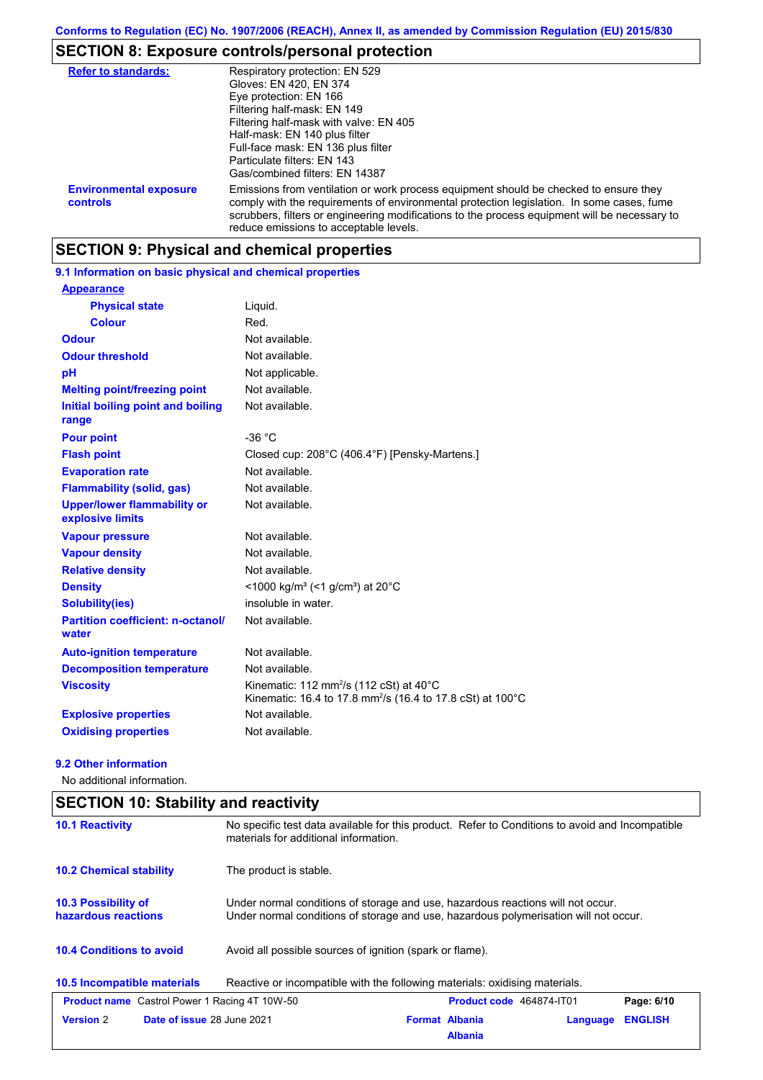# **SECTION 8: Exposure controls/personal protection**

| <b>Refer to standards:</b>                | Respiratory protection: EN 529<br>Gloves: EN 420, EN 374<br>Eye protection: EN 166<br>Filtering half-mask: EN 149<br>Filtering half-mask with valve: EN 405<br>Half-mask: EN 140 plus filter<br>Full-face mask: EN 136 plus filter<br>Particulate filters: EN 143<br>Gas/combined filters: EN 14387                           |
|-------------------------------------------|-------------------------------------------------------------------------------------------------------------------------------------------------------------------------------------------------------------------------------------------------------------------------------------------------------------------------------|
| <b>Environmental exposure</b><br>controls | Emissions from ventilation or work process equipment should be checked to ensure they<br>comply with the requirements of environmental protection legislation. In some cases, fume<br>scrubbers, filters or engineering modifications to the process equipment will be necessary to<br>reduce emissions to acceptable levels. |

# **SECTION 9: Physical and chemical properties**

**9.1 Information on basic physical and chemical properties**

| <b>Appearance</b>                                      |                                                                                                                                         |
|--------------------------------------------------------|-----------------------------------------------------------------------------------------------------------------------------------------|
| <b>Physical state</b>                                  | Liquid.                                                                                                                                 |
| <b>Colour</b>                                          | Red.                                                                                                                                    |
| <b>Odour</b>                                           | Not available.                                                                                                                          |
| <b>Odour threshold</b>                                 | Not available.                                                                                                                          |
| pH                                                     | Not applicable.                                                                                                                         |
| <b>Melting point/freezing point</b>                    | Not available.                                                                                                                          |
| Initial boiling point and boiling<br>range             | Not available.                                                                                                                          |
| <b>Pour point</b>                                      | $-36 °C$                                                                                                                                |
| <b>Flash point</b>                                     | Closed cup: 208°C (406.4°F) [Pensky-Martens.]                                                                                           |
| <b>Evaporation rate</b>                                | Not available.                                                                                                                          |
| <b>Flammability (solid, gas)</b>                       | Not available.                                                                                                                          |
| <b>Upper/lower flammability or</b><br>explosive limits | Not available.                                                                                                                          |
| <b>Vapour pressure</b>                                 | Not available.                                                                                                                          |
| <b>Vapour density</b>                                  | Not available.                                                                                                                          |
| <b>Relative density</b>                                | Not available.                                                                                                                          |
| <b>Density</b>                                         | <1000 kg/m <sup>3</sup> (<1 g/cm <sup>3</sup> ) at 20 <sup>°</sup> C                                                                    |
| <b>Solubility(ies)</b>                                 | insoluble in water.                                                                                                                     |
| <b>Partition coefficient: n-octanol/</b><br>water      | Not available.                                                                                                                          |
| <b>Auto-ignition temperature</b>                       | Not available.                                                                                                                          |
| <b>Decomposition temperature</b>                       | Not available.                                                                                                                          |
| <b>Viscosity</b>                                       | Kinematic: 112 mm <sup>2</sup> /s (112 cSt) at $40^{\circ}$ C<br>Kinematic: 16.4 to 17.8 mm <sup>2</sup> /s (16.4 to 17.8 cSt) at 100°C |
| <b>Explosive properties</b>                            | Not available.                                                                                                                          |
| <b>Oxidising properties</b>                            | Not available.                                                                                                                          |

### **9.2 Other information**

No additional information.

| No specific test data available for this product. Refer to Conditions to avoid and Incompatible<br><b>10.1 Reactivity</b><br>materials for additional information. |                                                                                                                                                                         |  |  |  |
|--------------------------------------------------------------------------------------------------------------------------------------------------------------------|-------------------------------------------------------------------------------------------------------------------------------------------------------------------------|--|--|--|
| <b>10.2 Chemical stability</b>                                                                                                                                     | The product is stable.                                                                                                                                                  |  |  |  |
| 10.3 Possibility of<br>hazardous reactions                                                                                                                         | Under normal conditions of storage and use, hazardous reactions will not occur.<br>Under normal conditions of storage and use, hazardous polymerisation will not occur. |  |  |  |
| <b>10.4 Conditions to avoid</b>                                                                                                                                    | Avoid all possible sources of ignition (spark or flame).                                                                                                                |  |  |  |
| 10.5 Incompatible materials                                                                                                                                        | Reactive or incompatible with the following materials: oxidising materials.                                                                                             |  |  |  |
| <b>Product name</b> Castrol Power 1 Racing 4T 10W-50                                                                                                               | <b>Product code</b> 464874-IT01<br>Page: 6/10                                                                                                                           |  |  |  |
| <b>Version 2</b><br><b>Date of issue 28 June 2021</b>                                                                                                              | <b>ENGLISH</b><br><b>Format Albania</b><br>Language<br><b>Albania</b>                                                                                                   |  |  |  |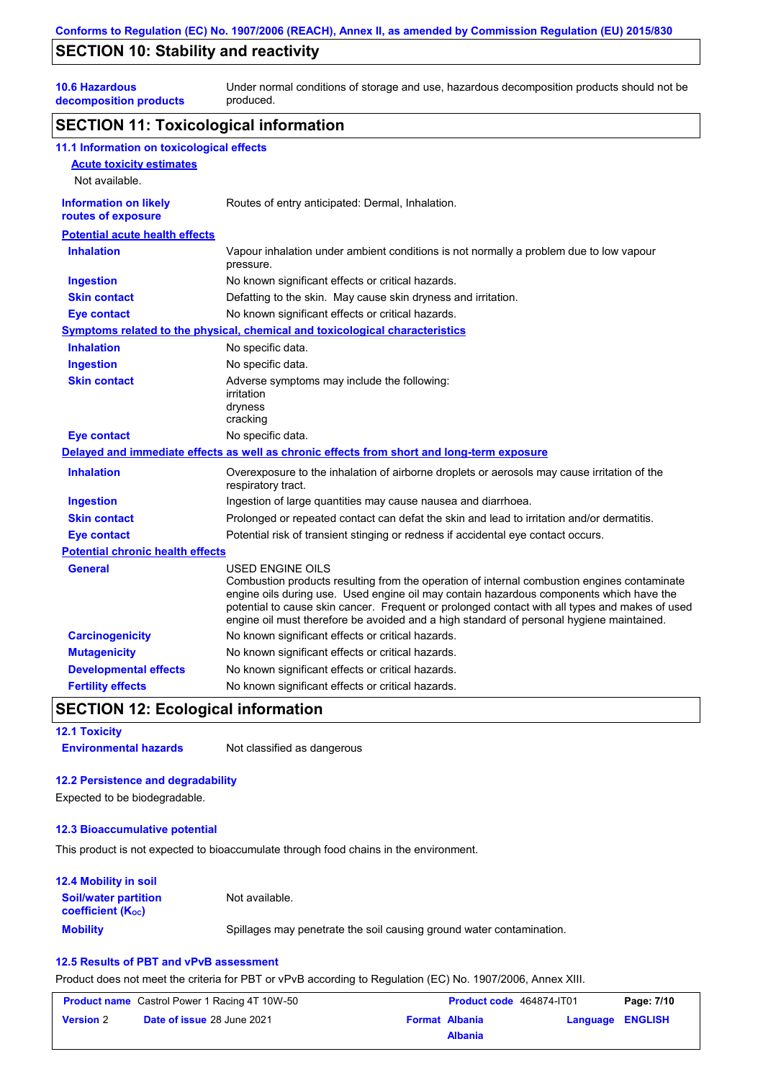### **SECTION 10: Stability and reactivity**

**10.6 Hazardous** 

**decomposition products** Under normal conditions of storage and use, hazardous decomposition products should not be produced.

### **SECTION 11: Toxicological information**

| 11.1 Information on toxicological effects          |                                                                                                                                                                                                                                                                                                                                                                                                                 |
|----------------------------------------------------|-----------------------------------------------------------------------------------------------------------------------------------------------------------------------------------------------------------------------------------------------------------------------------------------------------------------------------------------------------------------------------------------------------------------|
| <b>Acute toxicity estimates</b>                    |                                                                                                                                                                                                                                                                                                                                                                                                                 |
| Not available.                                     |                                                                                                                                                                                                                                                                                                                                                                                                                 |
| <b>Information on likely</b><br>routes of exposure | Routes of entry anticipated: Dermal, Inhalation.                                                                                                                                                                                                                                                                                                                                                                |
| <b>Potential acute health effects</b>              |                                                                                                                                                                                                                                                                                                                                                                                                                 |
| <b>Inhalation</b>                                  | Vapour inhalation under ambient conditions is not normally a problem due to low vapour<br>pressure.                                                                                                                                                                                                                                                                                                             |
| <b>Ingestion</b>                                   | No known significant effects or critical hazards.                                                                                                                                                                                                                                                                                                                                                               |
| <b>Skin contact</b>                                | Defatting to the skin. May cause skin dryness and irritation.                                                                                                                                                                                                                                                                                                                                                   |
| <b>Eye contact</b>                                 | No known significant effects or critical hazards.                                                                                                                                                                                                                                                                                                                                                               |
|                                                    | Symptoms related to the physical, chemical and toxicological characteristics                                                                                                                                                                                                                                                                                                                                    |
| <b>Inhalation</b>                                  | No specific data.                                                                                                                                                                                                                                                                                                                                                                                               |
| <b>Ingestion</b>                                   | No specific data.                                                                                                                                                                                                                                                                                                                                                                                               |
| <b>Skin contact</b>                                | Adverse symptoms may include the following:<br>irritation<br>dryness<br>cracking                                                                                                                                                                                                                                                                                                                                |
| <b>Eye contact</b>                                 | No specific data.                                                                                                                                                                                                                                                                                                                                                                                               |
|                                                    | Delayed and immediate effects as well as chronic effects from short and long-term exposure                                                                                                                                                                                                                                                                                                                      |
| <b>Inhalation</b>                                  | Overexposure to the inhalation of airborne droplets or aerosols may cause irritation of the<br>respiratory tract.                                                                                                                                                                                                                                                                                               |
| <b>Ingestion</b>                                   | Ingestion of large quantities may cause nausea and diarrhoea.                                                                                                                                                                                                                                                                                                                                                   |
| <b>Skin contact</b>                                | Prolonged or repeated contact can defat the skin and lead to irritation and/or dermatitis.                                                                                                                                                                                                                                                                                                                      |
| <b>Eye contact</b>                                 | Potential risk of transient stinging or redness if accidental eye contact occurs.                                                                                                                                                                                                                                                                                                                               |
| <b>Potential chronic health effects</b>            |                                                                                                                                                                                                                                                                                                                                                                                                                 |
| <b>General</b>                                     | <b>USED ENGINE OILS</b><br>Combustion products resulting from the operation of internal combustion engines contaminate<br>engine oils during use. Used engine oil may contain hazardous components which have the<br>potential to cause skin cancer. Frequent or prolonged contact with all types and makes of used<br>engine oil must therefore be avoided and a high standard of personal hygiene maintained. |
| <b>Carcinogenicity</b>                             | No known significant effects or critical hazards.                                                                                                                                                                                                                                                                                                                                                               |
| <b>Mutagenicity</b>                                | No known significant effects or critical hazards.                                                                                                                                                                                                                                                                                                                                                               |
| <b>Developmental effects</b>                       | No known significant effects or critical hazards.                                                                                                                                                                                                                                                                                                                                                               |
| <b>Fertility effects</b>                           | No known significant effects or critical hazards.                                                                                                                                                                                                                                                                                                                                                               |

### **SECTION 12: Ecological information**

**12.1 Toxicity**

**Environmental hazards** Not classified as dangerous

#### **12.2 Persistence and degradability**

Expected to be biodegradable.

### **12.3 Bioaccumulative potential**

This product is not expected to bioaccumulate through food chains in the environment.

#### **Mobility** Spillages may penetrate the soil causing ground water contamination. **12.4 Mobility in soil Soil/water partition coefficient (KOC)** Not available.

### **12.5 Results of PBT and vPvB assessment**

Product does not meet the criteria for PBT or vPvB according to Regulation (EC) No. 1907/2006, Annex XIII.

| <b>Product name</b> Castrol Power 1 Racing 4T 10W-50 |                                   | Product code 464874-IT01 | Page: 7/10            |  |                  |
|------------------------------------------------------|-----------------------------------|--------------------------|-----------------------|--|------------------|
| <b>Version 2</b>                                     | <b>Date of issue 28 June 2021</b> |                          | <b>Format Albania</b> |  | Language ENGLISH |
|                                                      |                                   |                          | <b>Albania</b>        |  |                  |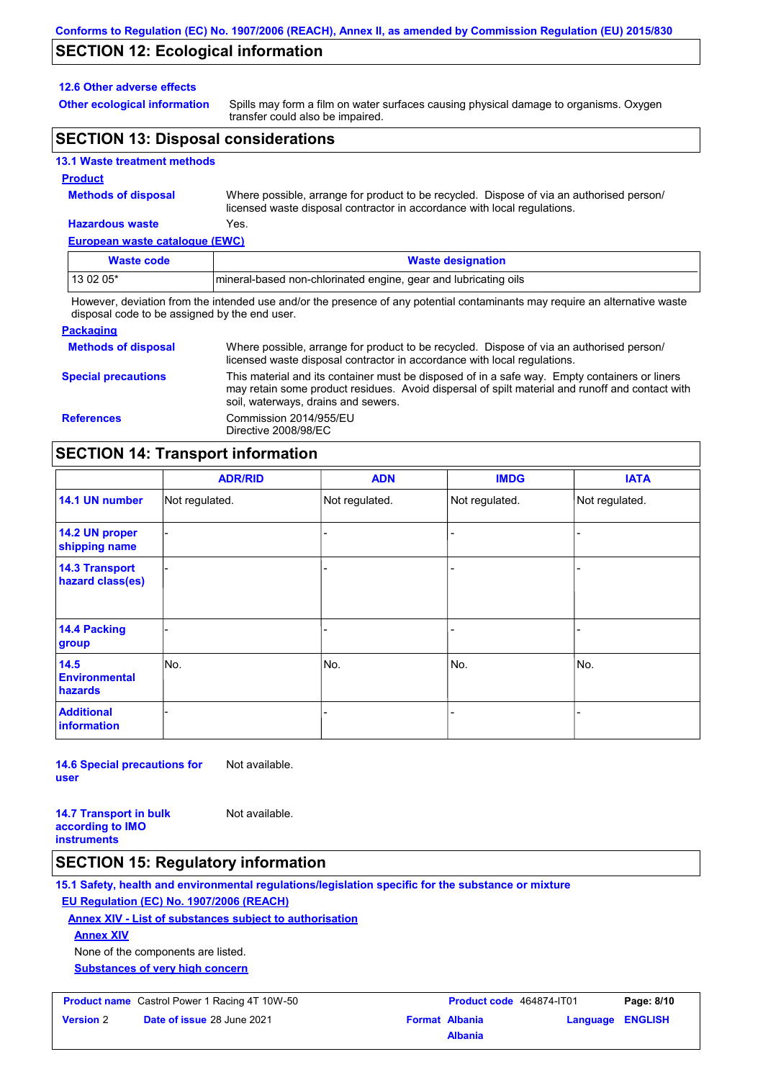### **SECTION 12: Ecological information**

#### **12.6 Other adverse effects**

**Other ecological information**

Spills may form a film on water surfaces causing physical damage to organisms. Oxygen transfer could also be impaired.

### **SECTION 13: Disposal considerations**

### **13.1 Waste treatment methods**

#### **Product**

**Methods of disposal**

Where possible, arrange for product to be recycled. Dispose of via an authorised person/ licensed waste disposal contractor in accordance with local regulations.

#### **European waste catalogue (EWC) Hazardous waste** Yes.

| Lui Opean waste calalogue (LWO) |                                                                                                                             |
|---------------------------------|-----------------------------------------------------------------------------------------------------------------------------|
| Waste code                      | <b>Waste designation</b>                                                                                                    |
| $130205*$                       | Imineral-based non-chlorinated engine, gear and lubricating oils                                                            |
|                                 | However, deviation from the intended use and/or the presence of any potential contaminants may require an alternative waste |

disposal code to be assigned by the end user.

#### **Packaging Methods of disposal Special precautions** Where possible, arrange for product to be recycled. Dispose of via an authorised person/ licensed waste disposal contractor in accordance with local regulations. This material and its container must be disposed of in a safe way. Empty containers or liners may retain some product residues. Avoid dispersal of spilt material and runoff and contact with soil, waterways, drains and sewers. **References** Commission 2014/955/EU Directive 2008/98/EC

### **SECTION 14: Transport information**

|                                           | <b>ADR/RID</b> | <b>ADN</b>     | <b>IMDG</b>    | <b>IATA</b>    |  |
|-------------------------------------------|----------------|----------------|----------------|----------------|--|
| 14.1 UN number                            | Not regulated. | Not regulated. | Not regulated. | Not regulated. |  |
| 14.2 UN proper<br>shipping name           |                |                |                |                |  |
| <b>14.3 Transport</b><br>hazard class(es) |                |                | ÷              |                |  |
| 14.4 Packing<br>group                     |                |                |                |                |  |
| 14.5<br><b>Environmental</b><br>hazards   | No.            | No.            | No.            | No.            |  |
| <b>Additional</b><br><b>information</b>   |                |                |                |                |  |

**14.6 Special precautions for user** Not available.

**14.7 Transport in bulk according to IMO instruments**

# **SECTION 15: Regulatory information**

**15.1 Safety, health and environmental regulations/legislation specific for the substance or mixture**

### **EU Regulation (EC) No. 1907/2006 (REACH)**

**Annex XIV - List of substances subject to authorisation**

Not available.

**Annex XIV**

None of the components are listed.

**Substances of very high concern**

| <b>Version 2</b> | <b>Date of issue 28 June 20</b> |
|------------------|---------------------------------|
|                  |                                 |

|                  | <b>Product name</b> Castrol Power 1 Racing 4T 10W-50 | <b>Product code</b> 464874-IT01 |                         | Page: 8/10 |
|------------------|------------------------------------------------------|---------------------------------|-------------------------|------------|
| <b>Version</b> 2 | <b>Date of issue 28 June 2021</b>                    | <b>Format Albania</b>           | <b>Language ENGLISH</b> |            |
|                  |                                                      | <b>Albania</b>                  |                         |            |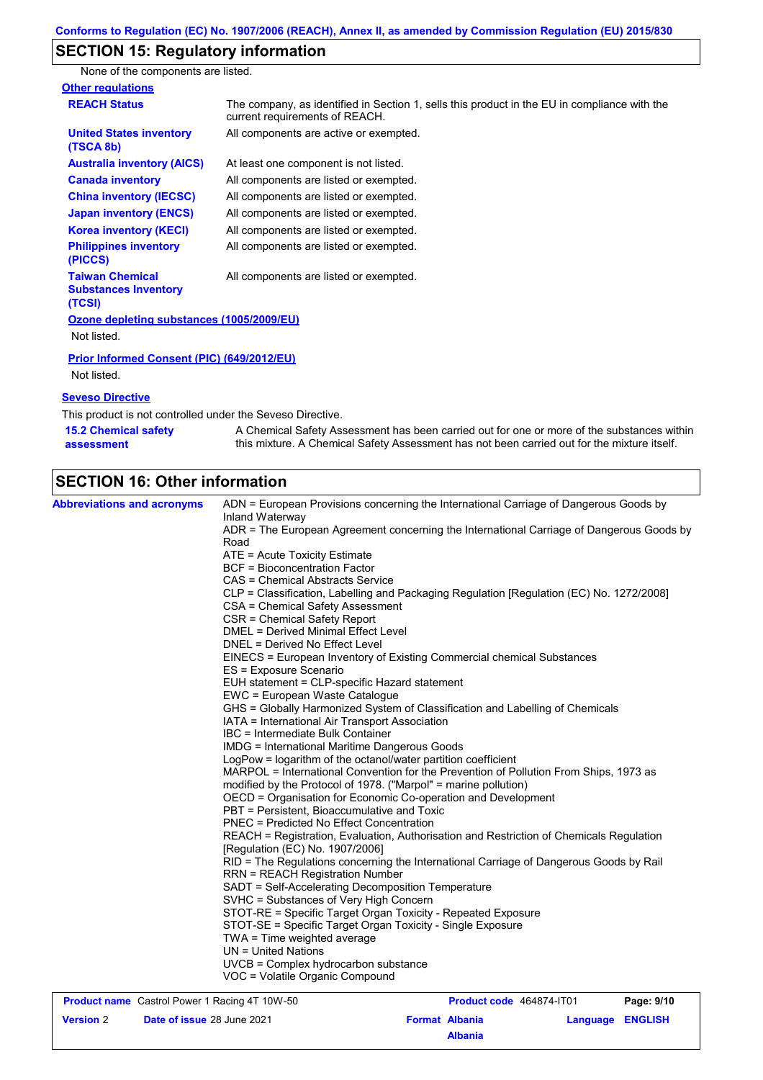# **SECTION 15: Regulatory information**

None of the components are listed.

| <b>Other regulations</b>                                        |                                                                                                                                |  |  |
|-----------------------------------------------------------------|--------------------------------------------------------------------------------------------------------------------------------|--|--|
| <b>REACH Status</b>                                             | The company, as identified in Section 1, sells this product in the EU in compliance with the<br>current requirements of REACH. |  |  |
| <b>United States inventory</b><br>(TSCA 8b)                     | All components are active or exempted.                                                                                         |  |  |
| <b>Australia inventory (AICS)</b>                               | At least one component is not listed.                                                                                          |  |  |
| <b>Canada inventory</b>                                         | All components are listed or exempted.                                                                                         |  |  |
| <b>China inventory (IECSC)</b>                                  | All components are listed or exempted.                                                                                         |  |  |
| <b>Japan inventory (ENCS)</b>                                   | All components are listed or exempted.                                                                                         |  |  |
| <b>Korea inventory (KECI)</b>                                   | All components are listed or exempted.                                                                                         |  |  |
| <b>Philippines inventory</b><br>(PICCS)                         | All components are listed or exempted.                                                                                         |  |  |
| <b>Taiwan Chemical</b><br><b>Substances Inventory</b><br>(TCSI) | All components are listed or exempted.                                                                                         |  |  |
| Ozone depleting substances (1005/2009/EU)                       |                                                                                                                                |  |  |
| Not listed.                                                     |                                                                                                                                |  |  |
| Prior Informed Consent (PIC) (649/2012/EU)                      |                                                                                                                                |  |  |
| Not listed.                                                     |                                                                                                                                |  |  |
| <b>Seveso Directive</b>                                         |                                                                                                                                |  |  |
| This product is not controlled under the Seveso Directive       |                                                                                                                                |  |  |

This product is not controlled under the Seveso Directive.

| <b>15.2 Chemical safety</b> | A Chemical Safety Assessment has been carried out for one or more of the substances within  |  |  |
|-----------------------------|---------------------------------------------------------------------------------------------|--|--|
| assessment                  | this mixture. A Chemical Safety Assessment has not been carried out for the mixture itself. |  |  |

# **SECTION 16: Other information**

**Version** 2

| <b>Abbreviations and acronyms</b>                    | ADN = European Provisions concerning the International Carriage of Dangerous Goods by            |  |  |  |  |  |
|------------------------------------------------------|--------------------------------------------------------------------------------------------------|--|--|--|--|--|
|                                                      | Inland Waterway                                                                                  |  |  |  |  |  |
|                                                      | ADR = The European Agreement concerning the International Carriage of Dangerous Goods by<br>Road |  |  |  |  |  |
|                                                      | ATE = Acute Toxicity Estimate                                                                    |  |  |  |  |  |
|                                                      | <b>BCF</b> = Bioconcentration Factor                                                             |  |  |  |  |  |
|                                                      | CAS = Chemical Abstracts Service                                                                 |  |  |  |  |  |
|                                                      | CLP = Classification, Labelling and Packaging Regulation [Regulation (EC) No. 1272/2008]         |  |  |  |  |  |
|                                                      | CSA = Chemical Safety Assessment                                                                 |  |  |  |  |  |
|                                                      | CSR = Chemical Safety Report                                                                     |  |  |  |  |  |
|                                                      | DMEL = Derived Minimal Effect Level                                                              |  |  |  |  |  |
|                                                      | DNEL = Derived No Effect Level                                                                   |  |  |  |  |  |
|                                                      | EINECS = European Inventory of Existing Commercial chemical Substances                           |  |  |  |  |  |
|                                                      | ES = Exposure Scenario                                                                           |  |  |  |  |  |
|                                                      | EUH statement = CLP-specific Hazard statement                                                    |  |  |  |  |  |
|                                                      | EWC = European Waste Catalogue                                                                   |  |  |  |  |  |
|                                                      | GHS = Globally Harmonized System of Classification and Labelling of Chemicals                    |  |  |  |  |  |
|                                                      | IATA = International Air Transport Association                                                   |  |  |  |  |  |
|                                                      | IBC = Intermediate Bulk Container                                                                |  |  |  |  |  |
|                                                      | IMDG = International Maritime Dangerous Goods                                                    |  |  |  |  |  |
|                                                      | LogPow = logarithm of the octanol/water partition coefficient                                    |  |  |  |  |  |
|                                                      | MARPOL = International Convention for the Prevention of Pollution From Ships, 1973 as            |  |  |  |  |  |
|                                                      | modified by the Protocol of 1978. ("Marpol" = marine pollution)                                  |  |  |  |  |  |
|                                                      | OECD = Organisation for Economic Co-operation and Development                                    |  |  |  |  |  |
|                                                      | PBT = Persistent, Bioaccumulative and Toxic                                                      |  |  |  |  |  |
|                                                      | PNEC = Predicted No Effect Concentration                                                         |  |  |  |  |  |
|                                                      | REACH = Registration, Evaluation, Authorisation and Restriction of Chemicals Regulation          |  |  |  |  |  |
|                                                      | [Regulation (EC) No. 1907/2006]                                                                  |  |  |  |  |  |
|                                                      | RID = The Regulations concerning the International Carriage of Dangerous Goods by Rail           |  |  |  |  |  |
|                                                      | <b>RRN = REACH Registration Number</b>                                                           |  |  |  |  |  |
|                                                      | SADT = Self-Accelerating Decomposition Temperature                                               |  |  |  |  |  |
|                                                      | SVHC = Substances of Very High Concern                                                           |  |  |  |  |  |
|                                                      | STOT-RE = Specific Target Organ Toxicity - Repeated Exposure                                     |  |  |  |  |  |
|                                                      | STOT-SE = Specific Target Organ Toxicity - Single Exposure                                       |  |  |  |  |  |
|                                                      | TWA = Time weighted average                                                                      |  |  |  |  |  |
|                                                      | $UN = United Nations$                                                                            |  |  |  |  |  |
|                                                      | UVCB = Complex hydrocarbon substance                                                             |  |  |  |  |  |
|                                                      | VOC = Volatile Organic Compound                                                                  |  |  |  |  |  |
| <b>Product name</b> Castrol Power 1 Racing 4T 10W-50 | Product code 464874-IT01<br>Page: 9/10                                                           |  |  |  |  |  |

**Date of issue** 28 June 2021 **Format Albania Language ENGLISH** 

**Albania**